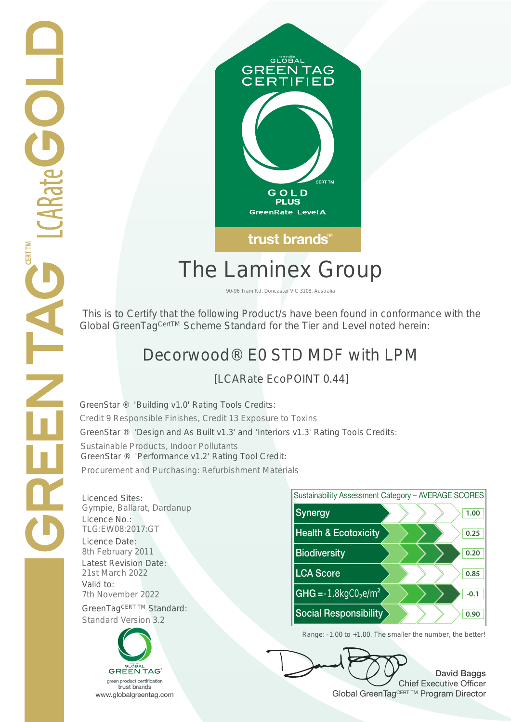

# The Laminex Group

90-96 Tram Rd, Doncaster VIC 3108, Australia

 This is to Certify that the following Product/s have been found in conformance with the Global GreenTag<sup>CertTM</sup> Scheme Standard for the Tier and Level noted herein:

## Decorwood® E0 STD MDF with LPM

Sustainable Products, Indoor Pollutants GreenStar ® 'Design and As Built v1.3' and 'Interiors v1.3' Rating Tools Credits:

GreenStar ® 'Performance v1.2' Rating Tool Credit:

Procurement and Purchasing: Refurbishment Materials

7th November 2022 **CHG = -1.8kgC0**<sub>2</sub>e/m<sup>2</sup> GreenStar<sup>™</sup> Cred Licenced Sites: Valid to:





David Baggs Chief Executive Officer WWW.globalgreentag.com Web States and Changes and Changes and Changes and Changes and Changes and Changes and Changes and Changes and Changes and Changes and Changes and Changes and Changes and Changes and Changes and Chan